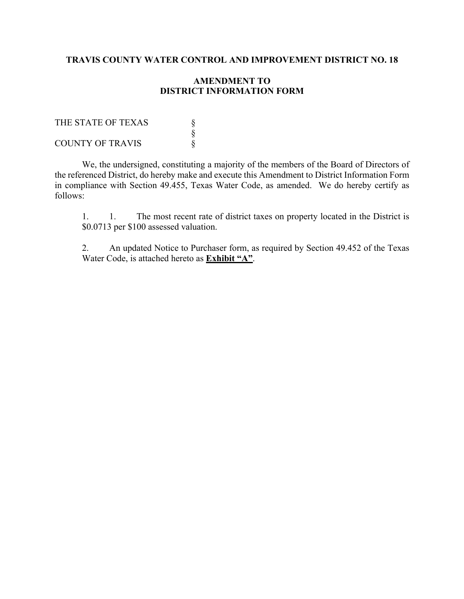# **TRAVIS COUNTY WATER CONTROL AND IMPROVEMENT DISTRICT NO. 18**

## **AMENDMENT TO DISTRICT INFORMATION FORM**

| THE STATE OF TEXAS      |  |
|-------------------------|--|
|                         |  |
| <b>COUNTY OF TRAVIS</b> |  |

We, the undersigned, constituting a majority of the members of the Board of Directors of the referenced District, do hereby make and execute this Amendment to District Information Form in compliance with Section 49.455, Texas Water Code, as amended. We do hereby certify as follows:

1. 1. The most recent rate of district taxes on property located in the District is \$0.0713 per \$100 assessed valuation.

2. An updated Notice to Purchaser form, as required by Section 49.452 of the Texas Water Code, is attached hereto as **Exhibit "A"**.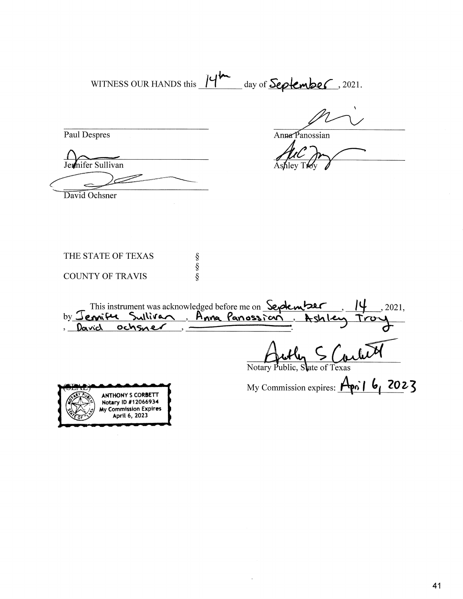WITNESS OUR HANDS this 14th day of **September**, 2021.

Paul Despres

Anna Panossian

Jemifer Sullivan

David Ochsner

| THE STATE OF TEXAS      |  |
|-------------------------|--|
|                         |  |
| <b>COUNTY OF TRAVIS</b> |  |

This instrument was acknowledged before me on Septem 2021, Ashle David ochsner Notary Public, State of Texas

My Commission expires: April 6, 2023

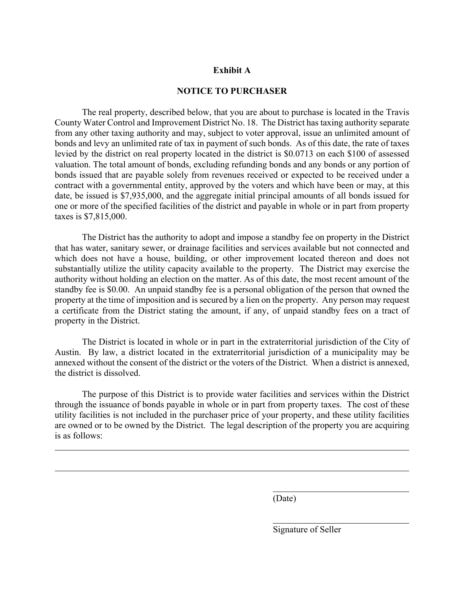#### **Exhibit A**

### **NOTICE TO PURCHASER**

The real property, described below, that you are about to purchase is located in the Travis County Water Control and Improvement District No. 18. The District has taxing authority separate from any other taxing authority and may, subject to voter approval, issue an unlimited amount of bonds and levy an unlimited rate of tax in payment of such bonds. As of this date, the rate of taxes levied by the district on real property located in the district is \$0.0713 on each \$100 of assessed valuation. The total amount of bonds, excluding refunding bonds and any bonds or any portion of bonds issued that are payable solely from revenues received or expected to be received under a contract with a governmental entity, approved by the voters and which have been or may, at this date, be issued is \$7,935,000, and the aggregate initial principal amounts of all bonds issued for one or more of the specified facilities of the district and payable in whole or in part from property taxes is \$7,815,000.

The District has the authority to adopt and impose a standby fee on property in the District that has water, sanitary sewer, or drainage facilities and services available but not connected and which does not have a house, building, or other improvement located thereon and does not substantially utilize the utility capacity available to the property. The District may exercise the authority without holding an election on the matter. As of this date, the most recent amount of the standby fee is \$0.00. An unpaid standby fee is a personal obligation of the person that owned the property at the time of imposition and is secured by a lien on the property. Any person may request a certificate from the District stating the amount, if any, of unpaid standby fees on a tract of property in the District.

The District is located in whole or in part in the extraterritorial jurisdiction of the City of Austin. By law, a district located in the extraterritorial jurisdiction of a municipality may be annexed without the consent of the district or the voters of the District. When a district is annexed, the district is dissolved.

The purpose of this District is to provide water facilities and services within the District through the issuance of bonds payable in whole or in part from property taxes. The cost of these utility facilities is not included in the purchaser price of your property, and these utility facilities are owned or to be owned by the District. The legal description of the property you are acquiring is as follows:

(Date)

Signature of Seller